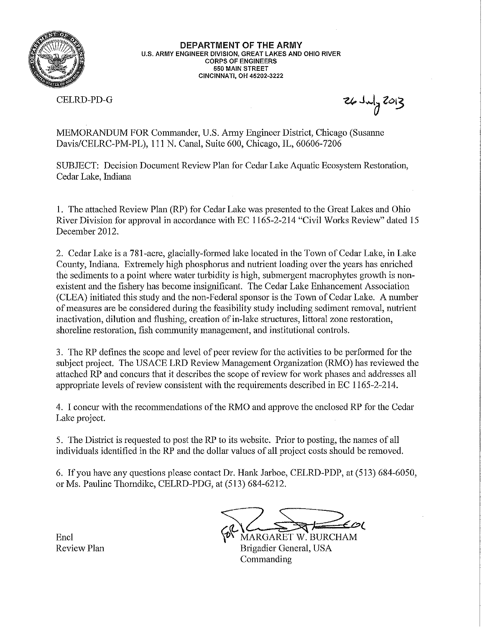

DEPARTMENT OF THE ARMY U.S. ARMY ENGINEER DIVISION, GREAT LAKES AND OHIO RIVER **CORPS OF ENGINEERS 550 MAIN STREET** CINCINNATI, OH 45202-3222

**CELRD-PD-G** 

 $26Jy/203$ 

MEMORANDUM FOR Commander, U.S. Army Engineer District, Chicago (Susanne Davis/CELRC-PM-PL), 111 N. Canal, Suite 600, Chicago, IL, 60606-7206

SUBJECT: Decision Document Review Plan for Cedar Lake Aquatic Ecosystem Restoration, Cedar Lake, Indiana

1. The attached Review Plan (RP) for Cedar Lake was presented to the Great Lakes and Ohio River Division for approval in accordance with EC 1165-2-214 "Civil Works Review" dated 15 December 2012.

2. Cedar Lake is a 781-acre, glacially-formed lake located in the Town of Cedar Lake, in Lake County, Indiana. Extremely high phosphorus and nutrient loading over the years has enriched the sediments to a point where water turbidity is high, submergent macrophytes growth is nonexistent and the fishery has become insignificant. The Cedar Lake Enhancement Association (CLEA) initiated this study and the non-Federal sponsor is the Town of Cedar Lake. A number of measures are be considered during the feasibility study including sediment removal, nutrient inactivation, dilution and flushing, creation of in-lake structures, littoral zone restoration, shoreline restoration, fish community management, and institutional controls.

3. The RP defines the scope and level of peer review for the activities to be performed for the subject project. The USACE LRD Review Management Organization (RMO) has reviewed the attached RP and concurs that it describes the scope of review for work phases and addresses all appropriate levels of review consistent with the requirements described in EC 1165-2-214.

4. I concur with the recommendations of the RMO and approve the enclosed RP for the Cedar Lake project.

5. The District is requested to post the RP to its website. Prior to posting, the names of all individuals identified in the RP and the dollar values of all project costs should be removed.

6. If you have any questions please contact Dr. Hank Jarboe, CELRD-PDP, at (513) 684-6050, or Ms. Pauline Thorndike, CELRD-PDG, at (513) 684-6212.

MARGARET W. BURCHAM Brigadier General, USA Commanding

Encl **Review Plan**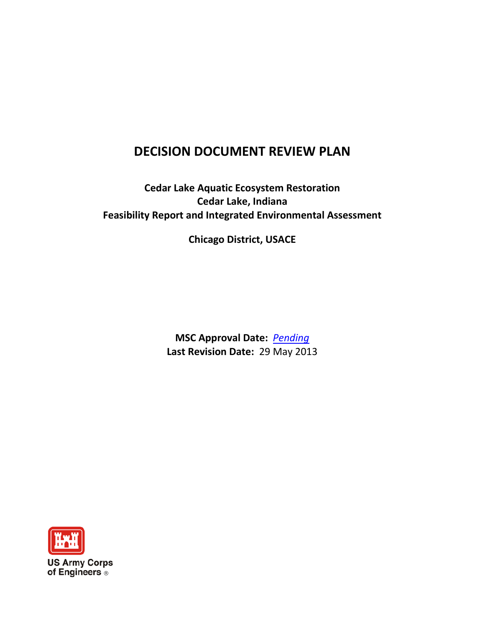# **DECISION DOCUMENT REVIEW PLAN**

# **Cedar Lake Aquatic Ecosystem Restoration Cedar Lake, Indiana Feasibility Report and Integrated Environmental Assessment**

**Chicago District, USACE**

**MSC Approval Date:** *Pending* **Last Revision Date:** 29 May 2013

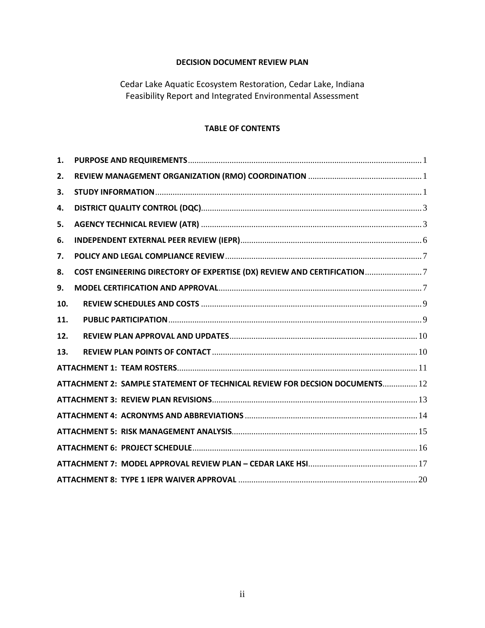## **DECISION DOCUMENT REVIEW PLAN**

Cedar Lake Aquatic Ecosystem Restoration, Cedar Lake, Indiana Feasibility Report and Integrated Environmental Assessment

## **TABLE OF CONTENTS**

| 1.  |                                                                             |
|-----|-----------------------------------------------------------------------------|
| 2.  |                                                                             |
| 3.  |                                                                             |
| 4.  |                                                                             |
| 5.  |                                                                             |
| 6.  |                                                                             |
| 7.  |                                                                             |
| 8.  |                                                                             |
| 9.  |                                                                             |
| 10. |                                                                             |
| 11. |                                                                             |
| 12. |                                                                             |
| 13. |                                                                             |
|     |                                                                             |
|     | ATTACHMENT 2: SAMPLE STATEMENT OF TECHNICAL REVIEW FOR DECSION DOCUMENTS 12 |
|     |                                                                             |
|     |                                                                             |
|     |                                                                             |
|     |                                                                             |
|     |                                                                             |
|     |                                                                             |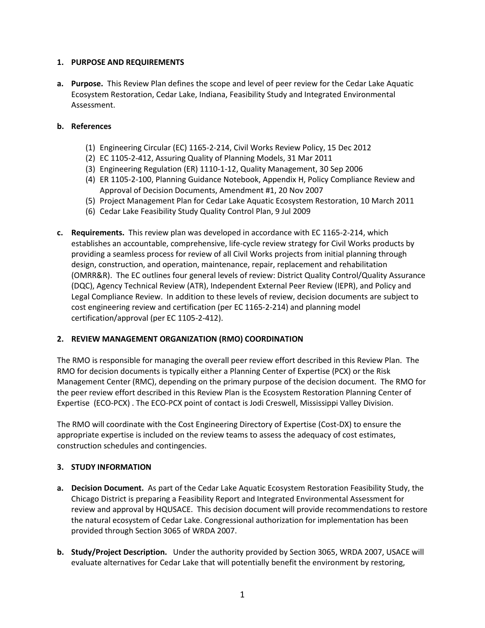## **1. PURPOSE AND REQUIREMENTS**

**a. Purpose.** This Review Plan defines the scope and level of peer review for the Cedar Lake Aquatic Ecosystem Restoration, Cedar Lake, Indiana, Feasibility Study and Integrated Environmental Assessment.

## **b. References**

- (1) Engineering Circular (EC) 1165-2-214, Civil Works Review Policy, 15 Dec 2012
- (2) EC 1105-2-412, Assuring Quality of Planning Models, 31 Mar 2011
- (3) Engineering Regulation (ER) 1110-1-12, Quality Management, 30 Sep 2006
- (4) ER 1105-2-100, Planning Guidance Notebook, Appendix H, Policy Compliance Review and Approval of Decision Documents, Amendment #1, 20 Nov 2007
- (5) Project Management Plan for Cedar Lake Aquatic Ecosystem Restoration, 10 March 2011
- (6) Cedar Lake Feasibility Study Quality Control Plan, 9 Jul 2009
- **c. Requirements.** This review plan was developed in accordance with EC 1165-2-214, which establishes an accountable, comprehensive, life-cycle review strategy for Civil Works products by providing a seamless process for review of all Civil Works projects from initial planning through design, construction, and operation, maintenance, repair, replacement and rehabilitation (OMRR&R). The EC outlines four general levels of review: District Quality Control/Quality Assurance (DQC), Agency Technical Review (ATR), Independent External Peer Review (IEPR), and Policy and Legal Compliance Review. In addition to these levels of review, decision documents are subject to cost engineering review and certification (per EC 1165-2-214) and planning model certification/approval (per EC 1105-2-412).

## **2. REVIEW MANAGEMENT ORGANIZATION (RMO) COORDINATION**

The RMO is responsible for managing the overall peer review effort described in this Review Plan. The RMO for decision documents is typically either a Planning Center of Expertise (PCX) or the Risk Management Center (RMC), depending on the primary purpose of the decision document. The RMO for the peer review effort described in this Review Plan is the Ecosystem Restoration Planning Center of Expertise (ECO-PCX) . The ECO-PCX point of contact is Jodi Creswell, Mississippi Valley Division.

The RMO will coordinate with the Cost Engineering Directory of Expertise (Cost-DX) to ensure the appropriate expertise is included on the review teams to assess the adequacy of cost estimates, construction schedules and contingencies.

## **3. STUDY INFORMATION**

- **a. Decision Document.** As part of the Cedar Lake Aquatic Ecosystem Restoration Feasibility Study, the Chicago District is preparing a Feasibility Report and Integrated Environmental Assessment for review and approval by HQUSACE. This decision document will provide recommendations to restore the natural ecosystem of Cedar Lake. Congressional authorization for implementation has been provided through Section 3065 of WRDA 2007.
- **b. Study/Project Description.** Under the authority provided by Section 3065, WRDA 2007, USACE will evaluate alternatives for Cedar Lake that will potentially benefit the environment by restoring,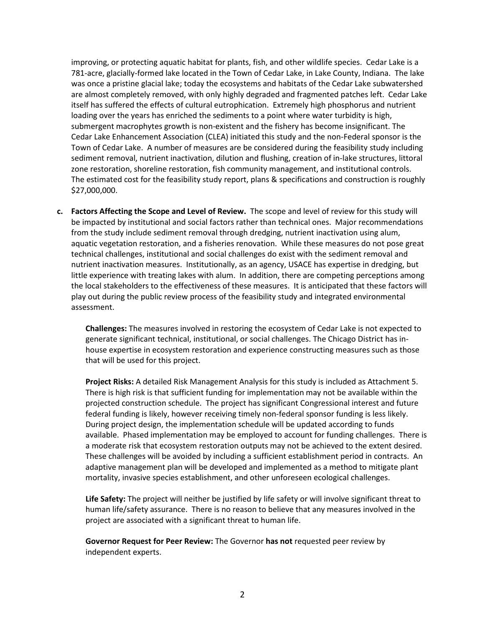improving, or protecting aquatic habitat for plants, fish, and other wildlife species. Cedar Lake is a 781-acre, glacially-formed lake located in the Town of Cedar Lake, in Lake County, Indiana. The lake was once a pristine glacial lake; today the ecosystems and habitats of the Cedar Lake subwatershed are almost completely removed, with only highly degraded and fragmented patches left. Cedar Lake itself has suffered the effects of cultural eutrophication. Extremely high phosphorus and nutrient loading over the years has enriched the sediments to a point where water turbidity is high, submergent macrophytes growth is non-existent and the fishery has become insignificant. The Cedar Lake Enhancement Association (CLEA) initiated this study and the non-Federal sponsor is the Town of Cedar Lake. A number of measures are be considered during the feasibility study including sediment removal, nutrient inactivation, dilution and flushing, creation of in-lake structures, littoral zone restoration, shoreline restoration, fish community management, and institutional controls. The estimated cost for the feasibility study report, plans & specifications and construction is roughly \$27,000,000.

**c. Factors Affecting the Scope and Level of Review.** The scope and level of review for this study will be impacted by institutional and social factors rather than technical ones. Major recommendations from the study include sediment removal through dredging, nutrient inactivation using alum, aquatic vegetation restoration, and a fisheries renovation. While these measures do not pose great technical challenges, institutional and social challenges do exist with the sediment removal and nutrient inactivation measures. Institutionally, as an agency, USACE has expertise in dredging, but little experience with treating lakes with alum. In addition, there are competing perceptions among the local stakeholders to the effectiveness of these measures. It is anticipated that these factors will play out during the public review process of the feasibility study and integrated environmental assessment.

**Challenges:** The measures involved in restoring the ecosystem of Cedar Lake is not expected to generate significant technical, institutional, or social challenges. The Chicago District has inhouse expertise in ecosystem restoration and experience constructing measures such as those that will be used for this project.

**Project Risks:** A detailed Risk Management Analysis for this study is included as Attachment 5. There is high risk is that sufficient funding for implementation may not be available within the projected construction schedule. The project has significant Congressional interest and future federal funding is likely, however receiving timely non-federal sponsor funding is less likely. During project design, the implementation schedule will be updated according to funds available. Phased implementation may be employed to account for funding challenges. There is a moderate risk that ecosystem restoration outputs may not be achieved to the extent desired. These challenges will be avoided by including a sufficient establishment period in contracts. An adaptive management plan will be developed and implemented as a method to mitigate plant mortality, invasive species establishment, and other unforeseen ecological challenges.

**Life Safety:** The project will neither be justified by life safety or will involve significant threat to human life/safety assurance. There is no reason to believe that any measures involved in the project are associated with a significant threat to human life.

**Governor Request for Peer Review:** The Governor **has not** requested peer review by independent experts.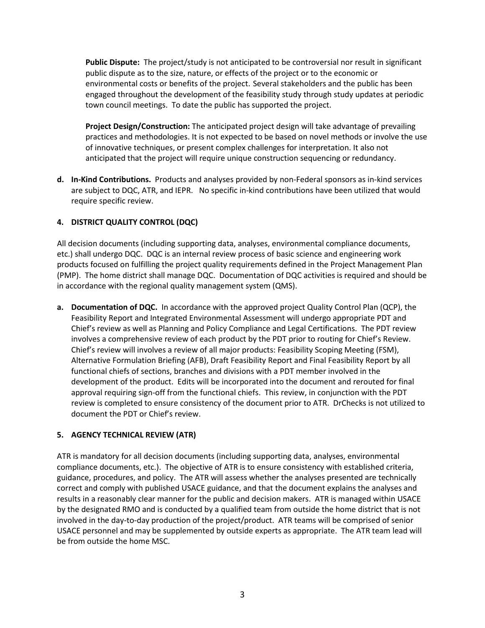**Public Dispute:** The project/study is not anticipated to be controversial nor result in significant public dispute as to the size, nature, or effects of the project or to the economic or environmental costs or benefits of the project. Several stakeholders and the public has been engaged throughout the development of the feasibility study through study updates at periodic town council meetings. To date the public has supported the project.

**Project Design/Construction:** The anticipated project design will take advantage of prevailing practices and methodologies. It is not expected to be based on novel methods or involve the use of innovative techniques, or present complex challenges for interpretation. It also not anticipated that the project will require unique construction sequencing or redundancy.

**d. In-Kind Contributions.** Products and analyses provided by non-Federal sponsors as in-kind services are subject to DQC, ATR, and IEPR. No specific in-kind contributions have been utilized that would require specific review.

## **4. DISTRICT QUALITY CONTROL (DQC)**

All decision documents (including supporting data, analyses, environmental compliance documents, etc.) shall undergo DQC. DQC is an internal review process of basic science and engineering work products focused on fulfilling the project quality requirements defined in the Project Management Plan (PMP). The home district shall manage DQC. Documentation of DQC activities is required and should be in accordance with the regional quality management system (QMS).

**a. Documentation of DQC.** In accordance with the approved project Quality Control Plan (QCP), the Feasibility Report and Integrated Environmental Assessment will undergo appropriate PDT and Chief's review as well as Planning and Policy Compliance and Legal Certifications. The PDT review involves a comprehensive review of each product by the PDT prior to routing for Chief's Review. Chief's review will involves a review of all major products: Feasibility Scoping Meeting (FSM), Alternative Formulation Briefing (AFB), Draft Feasibility Report and Final Feasibility Report by all functional chiefs of sections, branches and divisions with a PDT member involved in the development of the product. Edits will be incorporated into the document and rerouted for final approval requiring sign-off from the functional chiefs.This review, in conjunction with the PDT review is completed to ensure consistency of the document prior to ATR. DrChecks is not utilized to document the PDT or Chief's review.

## **5. AGENCY TECHNICAL REVIEW (ATR)**

ATR is mandatory for all decision documents (including supporting data, analyses, environmental compliance documents, etc.). The objective of ATR is to ensure consistency with established criteria, guidance, procedures, and policy. The ATR will assess whether the analyses presented are technically correct and comply with published USACE guidance, and that the document explains the analyses and results in a reasonably clear manner for the public and decision makers. ATR is managed within USACE by the designated RMO and is conducted by a qualified team from outside the home district that is not involved in the day-to-day production of the project/product. ATR teams will be comprised of senior USACE personnel and may be supplemented by outside experts as appropriate. The ATR team lead will be from outside the home MSC.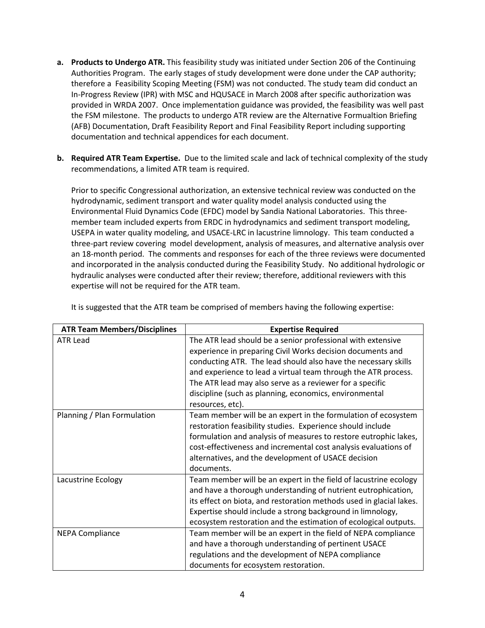- **a. Products to Undergo ATR.** This feasibility study was initiated under Section 206 of the Continuing Authorities Program. The early stages of study development were done under the CAP authority; therefore a Feasibility Scoping Meeting (FSM) was not conducted. The study team did conduct an In-Progress Review (IPR) with MSC and HQUSACE in March 2008 after specific authorization was provided in WRDA 2007. Once implementation guidance was provided, the feasibility was well past the FSM milestone. The products to undergo ATR review are the Alternative Formualtion Briefing (AFB) Documentation, Draft Feasibility Report and Final Feasibility Report including supporting documentation and technical appendices for each document.
- **b. Required ATR Team Expertise.** Due to the limited scale and lack of technical complexity of the study recommendations, a limited ATR team is required.

Prior to specific Congressional authorization, an extensive technical review was conducted on the hydrodynamic, sediment transport and water quality model analysis conducted using the Environmental Fluid Dynamics Code (EFDC) model by Sandia National Laboratories. This threemember team included experts from ERDC in hydrodynamics and sediment transport modeling, USEPA in water quality modeling, and USACE-LRC in lacustrine limnology. This team conducted a three-part review covering model development, analysis of measures, and alternative analysis over an 18-month period. The comments and responses for each of the three reviews were documented and incorporated in the analysis conducted during the Feasibility Study. No additional hydrologic or hydraulic analyses were conducted after their review; therefore, additional reviewers with this expertise will not be required for the ATR team.

| <b>ATR Team Members/Disciplines</b> | <b>Expertise Required</b>                                           |  |  |
|-------------------------------------|---------------------------------------------------------------------|--|--|
| <b>ATR Lead</b>                     | The ATR lead should be a senior professional with extensive         |  |  |
|                                     | experience in preparing Civil Works decision documents and          |  |  |
|                                     | conducting ATR. The lead should also have the necessary skills      |  |  |
|                                     | and experience to lead a virtual team through the ATR process.      |  |  |
|                                     | The ATR lead may also serve as a reviewer for a specific            |  |  |
|                                     | discipline (such as planning, economics, environmental              |  |  |
|                                     | resources, etc).                                                    |  |  |
| Planning / Plan Formulation         | Team member will be an expert in the formulation of ecosystem       |  |  |
|                                     | restoration feasibility studies. Experience should include          |  |  |
|                                     | formulation and analysis of measures to restore eutrophic lakes,    |  |  |
|                                     | cost-effectiveness and incremental cost analysis evaluations of     |  |  |
|                                     | alternatives, and the development of USACE decision                 |  |  |
|                                     | documents.                                                          |  |  |
| Lacustrine Ecology                  | Team member will be an expert in the field of lacustrine ecology    |  |  |
|                                     | and have a thorough understanding of nutrient eutrophication,       |  |  |
|                                     | its effect on biota, and restoration methods used in glacial lakes. |  |  |
|                                     | Expertise should include a strong background in limnology,          |  |  |
|                                     | ecosystem restoration and the estimation of ecological outputs.     |  |  |
| <b>NEPA Compliance</b>              | Team member will be an expert in the field of NEPA compliance       |  |  |
|                                     | and have a thorough understanding of pertinent USACE                |  |  |
|                                     | regulations and the development of NEPA compliance                  |  |  |
|                                     | documents for ecosystem restoration.                                |  |  |

It is suggested that the ATR team be comprised of members having the following expertise: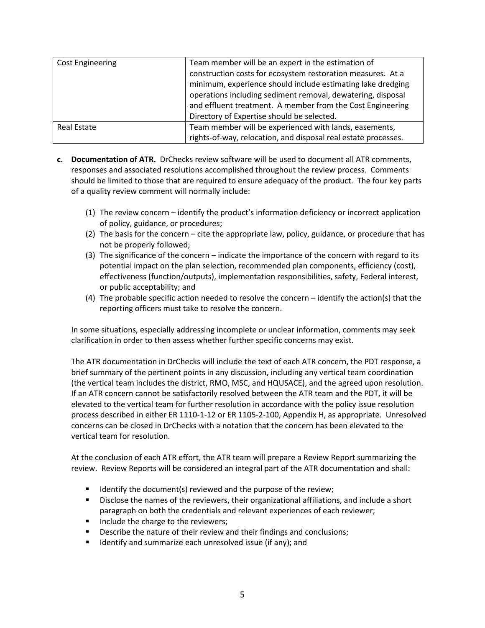| <b>Cost Engineering</b> | Team member will be an expert in the estimation of<br>construction costs for ecosystem restoration measures. At a |
|-------------------------|-------------------------------------------------------------------------------------------------------------------|
|                         | minimum, experience should include estimating lake dredging                                                       |
|                         | operations including sediment removal, dewatering, disposal                                                       |
|                         | and effluent treatment. A member from the Cost Engineering                                                        |
|                         | Directory of Expertise should be selected.                                                                        |
| Real Estate             | Team member will be experienced with lands, easements,                                                            |
|                         | rights-of-way, relocation, and disposal real estate processes.                                                    |

- **c. Documentation of ATR.** DrChecks review software will be used to document all ATR comments, responses and associated resolutions accomplished throughout the review process. Comments should be limited to those that are required to ensure adequacy of the product. The four key parts of a quality review comment will normally include:
	- (1) The review concern identify the product's information deficiency or incorrect application of policy, guidance, or procedures;
	- (2) The basis for the concern cite the appropriate law, policy, guidance, or procedure that has not be properly followed;
	- (3) The significance of the concern indicate the importance of the concern with regard to its potential impact on the plan selection, recommended plan components, efficiency (cost), effectiveness (function/outputs), implementation responsibilities, safety, Federal interest, or public acceptability; and
	- (4) The probable specific action needed to resolve the concern identify the action(s) that the reporting officers must take to resolve the concern.

In some situations, especially addressing incomplete or unclear information, comments may seek clarification in order to then assess whether further specific concerns may exist.

The ATR documentation in DrChecks will include the text of each ATR concern, the PDT response, a brief summary of the pertinent points in any discussion, including any vertical team coordination (the vertical team includes the district, RMO, MSC, and HQUSACE), and the agreed upon resolution. If an ATR concern cannot be satisfactorily resolved between the ATR team and the PDT, it will be elevated to the vertical team for further resolution in accordance with the policy issue resolution process described in either ER 1110-1-12 or ER 1105-2-100, Appendix H, as appropriate. Unresolved concerns can be closed in DrChecks with a notation that the concern has been elevated to the vertical team for resolution.

At the conclusion of each ATR effort, the ATR team will prepare a Review Report summarizing the review. Review Reports will be considered an integral part of the ATR documentation and shall:

- Identify the document(s) reviewed and the purpose of the review;
- Disclose the names of the reviewers, their organizational affiliations, and include a short paragraph on both the credentials and relevant experiences of each reviewer;
- Include the charge to the reviewers;
- Describe the nature of their review and their findings and conclusions;
- **If Identify and summarize each unresolved issue (if any); and**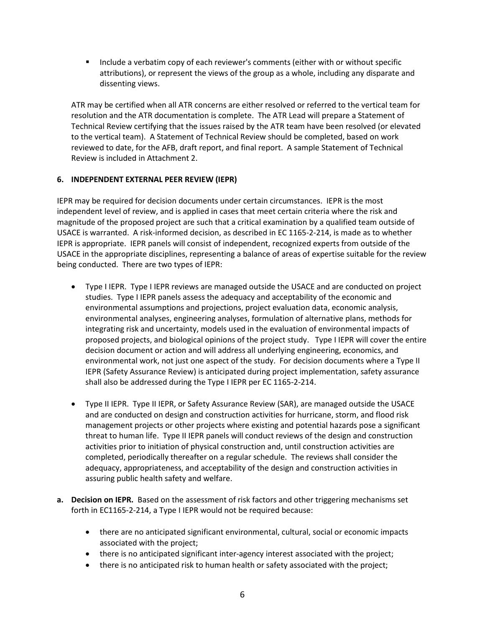**Include a verbatim copy of each reviewer's comments (either with or without specific** attributions), or represent the views of the group as a whole, including any disparate and dissenting views.

ATR may be certified when all ATR concerns are either resolved or referred to the vertical team for resolution and the ATR documentation is complete. The ATR Lead will prepare a Statement of Technical Review certifying that the issues raised by the ATR team have been resolved (or elevated to the vertical team). A Statement of Technical Review should be completed, based on work reviewed to date, for the AFB, draft report, and final report. A sample Statement of Technical Review is included in Attachment 2.

## **6. INDEPENDENT EXTERNAL PEER REVIEW (IEPR)**

IEPR may be required for decision documents under certain circumstances. IEPR is the most independent level of review, and is applied in cases that meet certain criteria where the risk and magnitude of the proposed project are such that a critical examination by a qualified team outside of USACE is warranted. A risk-informed decision, as described in EC 1165-2-214, is made as to whether IEPR is appropriate. IEPR panels will consist of independent, recognized experts from outside of the USACE in the appropriate disciplines, representing a balance of areas of expertise suitable for the review being conducted. There are two types of IEPR:

- Type I IEPR. Type I IEPR reviews are managed outside the USACE and are conducted on project studies. Type I IEPR panels assess the adequacy and acceptability of the economic and environmental assumptions and projections, project evaluation data, economic analysis, environmental analyses, engineering analyses, formulation of alternative plans, methods for integrating risk and uncertainty, models used in the evaluation of environmental impacts of proposed projects, and biological opinions of the project study. Type I IEPR will cover the entire decision document or action and will address all underlying engineering, economics, and environmental work, not just one aspect of the study. For decision documents where a Type II IEPR (Safety Assurance Review) is anticipated during project implementation, safety assurance shall also be addressed during the Type I IEPR per EC 1165-2-214.
- Type II IEPR. Type II IEPR, or Safety Assurance Review (SAR), are managed outside the USACE and are conducted on design and construction activities for hurricane, storm, and flood risk management projects or other projects where existing and potential hazards pose a significant threat to human life. Type II IEPR panels will conduct reviews of the design and construction activities prior to initiation of physical construction and, until construction activities are completed, periodically thereafter on a regular schedule. The reviews shall consider the adequacy, appropriateness, and acceptability of the design and construction activities in assuring public health safety and welfare.
- **a. Decision on IEPR.** Based on the assessment of risk factors and other triggering mechanisms set forth in EC1165-2-214, a Type I IEPR would not be required because:
	- there are no anticipated significant environmental, cultural, social or economic impacts associated with the project;
	- there is no anticipated significant inter-agency interest associated with the project;
	- there is no anticipated risk to human health or safety associated with the project;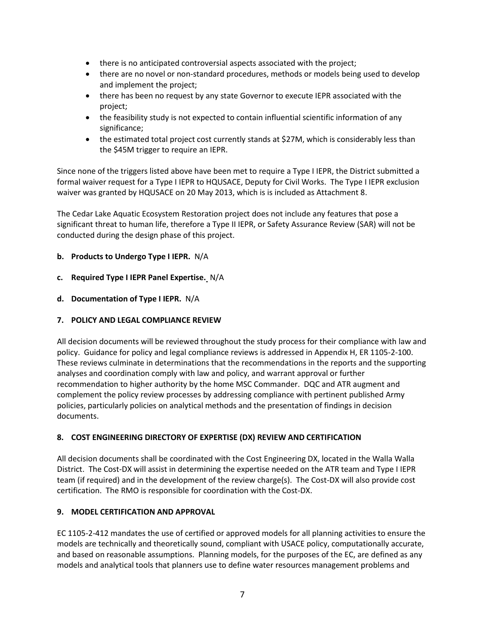- there is no anticipated controversial aspects associated with the project;
- there are no novel or non-standard procedures, methods or models being used to develop and implement the project;
- there has been no request by any state Governor to execute IEPR associated with the project;
- the feasibility study is not expected to contain influential scientific information of any significance;
- the estimated total project cost currently stands at \$27M, which is considerably less than the \$45M trigger to require an IEPR.

Since none of the triggers listed above have been met to require a Type I IEPR, the District submitted a formal waiver request for a Type I IEPR to HQUSACE, Deputy for Civil Works. The Type I IEPR exclusion waiver was granted by HQUSACE on 20 May 2013, which is is included as Attachment 8.

The Cedar Lake Aquatic Ecosystem Restoration project does not include any features that pose a significant threat to human life, therefore a Type II IEPR, or Safety Assurance Review (SAR) will not be conducted during the design phase of this project.

## **b. Products to Undergo Type I IEPR.** N/A

- **c. Required Type I IEPR Panel Expertise.** N/A
- **d. Documentation of Type I IEPR.** N/A

## **7. POLICY AND LEGAL COMPLIANCE REVIEW**

All decision documents will be reviewed throughout the study process for their compliance with law and policy. Guidance for policy and legal compliance reviews is addressed in Appendix H, ER 1105-2-100. These reviews culminate in determinations that the recommendations in the reports and the supporting analyses and coordination comply with law and policy, and warrant approval or further recommendation to higher authority by the home MSC Commander. DQC and ATR augment and complement the policy review processes by addressing compliance with pertinent published Army policies, particularly policies on analytical methods and the presentation of findings in decision documents.

## **8. COST ENGINEERING DIRECTORY OF EXPERTISE (DX) REVIEW AND CERTIFICATION**

All decision documents shall be coordinated with the Cost Engineering DX, located in the Walla Walla District. The Cost-DX will assist in determining the expertise needed on the ATR team and Type I IEPR team (if required) and in the development of the review charge(s). The Cost-DX will also provide cost certification. The RMO is responsible for coordination with the Cost-DX.

## **9. MODEL CERTIFICATION AND APPROVAL**

EC 1105-2-412 mandates the use of certified or approved models for all planning activities to ensure the models are technically and theoretically sound, compliant with USACE policy, computationally accurate, and based on reasonable assumptions. Planning models, for the purposes of the EC, are defined as any models and analytical tools that planners use to define water resources management problems and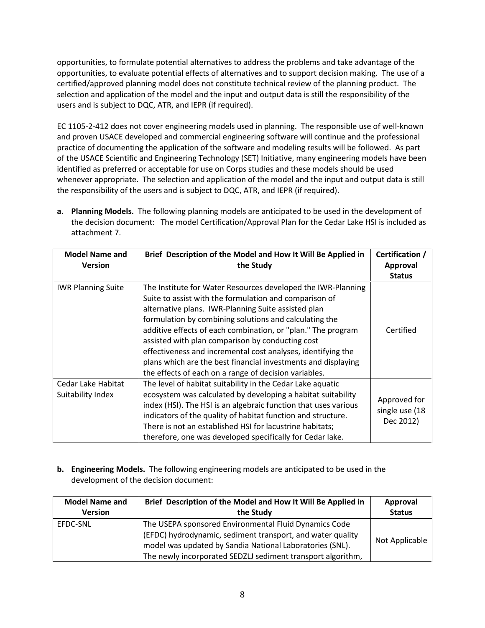opportunities, to formulate potential alternatives to address the problems and take advantage of the opportunities, to evaluate potential effects of alternatives and to support decision making. The use of a certified/approved planning model does not constitute technical review of the planning product. The selection and application of the model and the input and output data is still the responsibility of the users and is subject to DQC, ATR, and IEPR (if required).

EC 1105-2-412 does not cover engineering models used in planning. The responsible use of well-known and proven USACE developed and commercial engineering software will continue and the professional practice of documenting the application of the software and modeling results will be followed. As part of the USACE Scientific and Engineering Technology (SET) Initiative, many engineering models have been identified as preferred or acceptable for use on Corps studies and these models should be used whenever appropriate. The selection and application of the model and the input and output data is still the responsibility of the users and is subject to DQC, ATR, and IEPR (if required).

**a. Planning Models.** The following planning models are anticipated to be used in the development of the decision document: The model Certification/Approval Plan for the Cedar Lake HSI is included as attachment 7.

| <b>Model Name and</b><br><b>Version</b> | Brief Description of the Model and How It Will Be Applied in<br>the Study                                                                                                                                                                                                                                                                                                                                                                                                                                                                             | Certification /<br><b>Approval</b><br><b>Status</b> |
|-----------------------------------------|-------------------------------------------------------------------------------------------------------------------------------------------------------------------------------------------------------------------------------------------------------------------------------------------------------------------------------------------------------------------------------------------------------------------------------------------------------------------------------------------------------------------------------------------------------|-----------------------------------------------------|
| <b>IWR Planning Suite</b>               | The Institute for Water Resources developed the IWR-Planning<br>Suite to assist with the formulation and comparison of<br>alternative plans. IWR-Planning Suite assisted plan<br>formulation by combining solutions and calculating the<br>additive effects of each combination, or "plan." The program<br>assisted with plan comparison by conducting cost<br>effectiveness and incremental cost analyses, identifying the<br>plans which are the best financial investments and displaying<br>the effects of each on a range of decision variables. | Certified                                           |
| Cedar Lake Habitat<br>Suitability Index | The level of habitat suitability in the Cedar Lake aquatic<br>ecosystem was calculated by developing a habitat suitability<br>index (HSI). The HSI is an algebraic function that uses various<br>indicators of the quality of habitat function and structure.<br>There is not an established HSI for lacustrine habitats;<br>therefore, one was developed specifically for Cedar lake.                                                                                                                                                                | Approved for<br>single use (18<br>Dec 2012)         |

**b. Engineering Models.** The following engineering models are anticipated to be used in the development of the decision document:

| <b>Model Name and</b> | Brief Description of the Model and How It Will Be Applied in                                                                                                                                                                                   | Approval       |
|-----------------------|------------------------------------------------------------------------------------------------------------------------------------------------------------------------------------------------------------------------------------------------|----------------|
| <b>Version</b>        | the Study                                                                                                                                                                                                                                      | <b>Status</b>  |
| EFDC-SNL              | The USEPA sponsored Environmental Fluid Dynamics Code<br>(EFDC) hydrodynamic, sediment transport, and water quality<br>model was updated by Sandia National Laboratories (SNL).<br>The newly incorporated SEDZLJ sediment transport algorithm, | Not Applicable |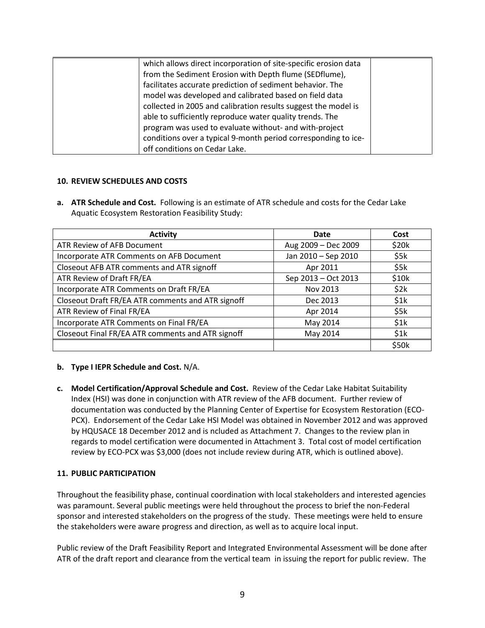| which allows direct incorporation of site-specific erosion data<br>from the Sediment Erosion with Depth flume (SEDflume),<br>facilitates accurate prediction of sediment behavior. The<br>model was developed and calibrated based on field data<br>collected in 2005 and calibration results suggest the model is<br>able to sufficiently reproduce water quality trends. The |  |
|--------------------------------------------------------------------------------------------------------------------------------------------------------------------------------------------------------------------------------------------------------------------------------------------------------------------------------------------------------------------------------|--|
| program was used to evaluate without- and with-project<br>conditions over a typical 9-month period corresponding to ice-                                                                                                                                                                                                                                                       |  |
| off conditions on Cedar Lake.                                                                                                                                                                                                                                                                                                                                                  |  |

## **10. REVIEW SCHEDULES AND COSTS**

**a. ATR Schedule and Cost.** Following is an estimate of ATR schedule and costs for the Cedar Lake Aquatic Ecosystem Restoration Feasibility Study:

| <b>Activity</b>                                   | Date                | Cost  |
|---------------------------------------------------|---------------------|-------|
| ATR Review of AFB Document                        | Aug 2009 - Dec 2009 | \$20k |
| Incorporate ATR Comments on AFB Document          | Jan 2010 - Sep 2010 | \$5k  |
| Closeout AFB ATR comments and ATR signoff         | Apr 2011            | \$5k  |
| ATR Review of Draft FR/EA                         | Sep 2013 - Oct 2013 | \$10k |
| Incorporate ATR Comments on Draft FR/EA           | Nov 2013            | \$2k  |
| Closeout Draft FR/EA ATR comments and ATR signoff | Dec 2013            | \$1k  |
| ATR Review of Final FR/EA                         | Apr 2014            | \$5k  |
| Incorporate ATR Comments on Final FR/EA           | May 2014            | \$1k  |
| Closeout Final FR/EA ATR comments and ATR signoff | May 2014            | \$1k  |
|                                                   |                     | \$50k |

## **b. Type I IEPR Schedule and Cost.** N/A.

**c. Model Certification/Approval Schedule and Cost.** Review of the Cedar Lake Habitat Suitability Index (HSI) was done in conjunction with ATR review of the AFB document. Further review of documentation was conducted by the Planning Center of Expertise for Ecosystem Restoration (ECO-PCX). Endorsement of the Cedar Lake HSI Model was obtained in November 2012 and was approved by HQUSACE 18 December 2012 and is ncluded as Attachment 7. Changes to the review plan in regards to model certification were documented in Attachment 3. Total cost of model certification review by ECO-PCX was \$3,000 (does not include review during ATR, which is outlined above).

## **11. PUBLIC PARTICIPATION**

Throughout the feasibility phase, continual coordination with local stakeholders and interested agencies was paramount. Several public meetings were held throughout the process to brief the non-Federal sponsor and interested stakeholders on the progress of the study. These meetings were held to ensure the stakeholders were aware progress and direction, as well as to acquire local input.

Public review of the Draft Feasibility Report and Integrated Environmental Assessment will be done after ATR of the draft report and clearance from the vertical team in issuing the report for public review. The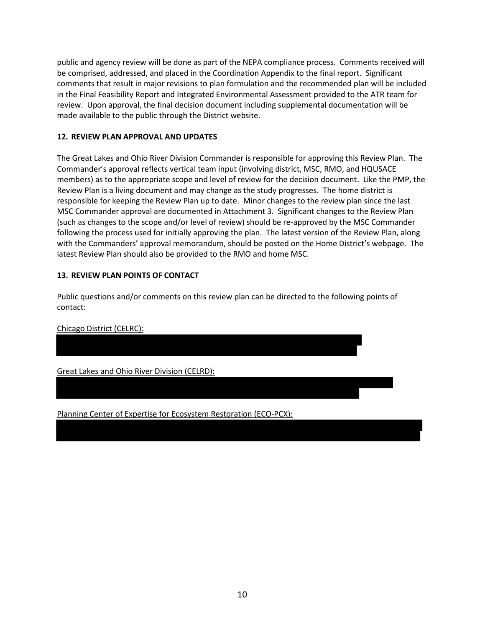public and agency review will be done as part of the NEPA compliance process. Comments received will be comprised, addressed, and placed in the Coordination Appendix to the final report. Significant comments that result in major revisions to plan formulation and the recommended plan will be included in the Final Feasibility Report and Integrated Environmental Assessment provided to the ATR team for review. Upon approval, the final decision document including supplemental documentation will be made available to the public through the District website.

## **12. REVIEW PLAN APPROVAL AND UPDATES**

The Great Lakes and Ohio River Division Commander is responsible for approving this Review Plan. The Commander's approval reflects vertical team input (involving district, MSC, RMO, and HQUSACE members) as to the appropriate scope and level of review for the decision document. Like the PMP, the Review Plan is a living document and may change as the study progresses. The home district is responsible for keeping the Review Plan up to date. Minor changes to the review plan since the last MSC Commander approval are documented in Attachment 3. Significant changes to the Review Plan (such as changes to the scope and/or level of review) should be re-approved by the MSC Commander following the process used for initially approving the plan. The latest version of the Review Plan, along with the Commanders' approval memorandum, should be posted on the Home District's webpage. The latest Review Plan should also be provided to the RMO and home MSC.

## **13. REVIEW PLAN POINTS OF CONTACT**

Public questions and/or comments on this review plan can be directed to the following points of contact:

## Chicago District (CELRC):

Great Lakes and Ohio River Division (CELRD):

Planning Center of Expertise for Ecosystem Restoration (ECO-PCX):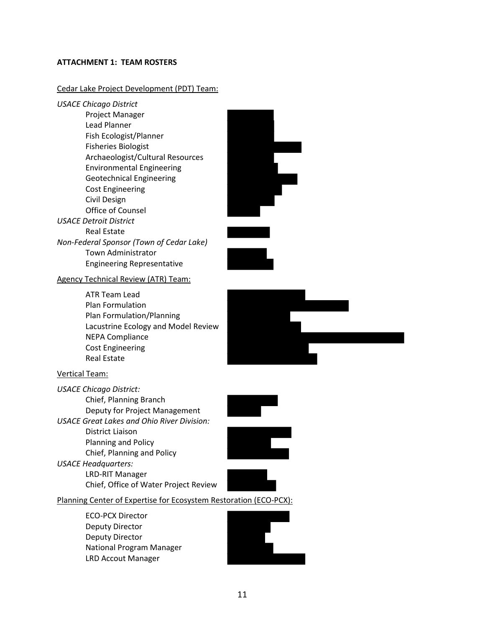#### **ATTACHMENT 1: TEAM ROSTERS**

#### Cedar Lake Project Development (PDT) Team:

*USACE Chicago District* Project Manager Lead Planner Fish Ecologist/Planner Fisheries Biologist Archaeologist/Cultural Resources Environmental Engineering Geotechnical Engineering Cost Engineering Civil Design Office of Counsel *USACE Detroit District* Real Estate *Non-Federal Sponsor (Town of Cedar Lake)* Town Administrator Engineering Representative

## Agency Technical Review (ATR) Team:

ATR Team Lead Plan Formulation Plan Formulation/Planning Lacustrine Ecology and Model Review NEPA Compliance Cost Engineering Real Estate



#### Vertical Team:

*USACE Chicago District:* Chief, Planning Branch Deputy for Project Management *USACE Great Lakes and Ohio River Division:* District Liaison Planning and Policy Chief, Planning and Policy *USACE Headquarters:* LRD-RIT Manager Chief, Office of Water Project Review





Planning Center of Expertise for Ecosystem Restoration (ECO-PCX):

ECO-PCX Director Deputy Director Deputy Director National Program Manager LRD Accout Manager

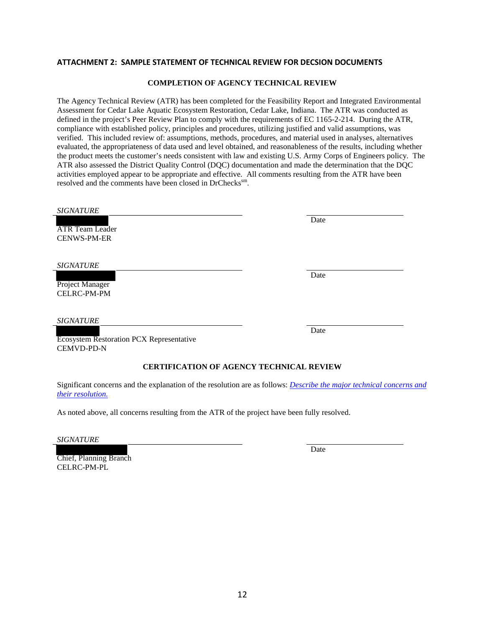#### **ATTACHMENT 2: SAMPLE STATEMENT OF TECHNICAL REVIEW FOR DECSION DOCUMENTS**

#### **COMPLETION OF AGENCY TECHNICAL REVIEW**

The Agency Technical Review (ATR) has been completed for the Feasibility Report and Integrated Environmental Assessment for Cedar Lake Aquatic Ecosystem Restoration, Cedar Lake, Indiana. The ATR was conducted as defined in the project's Peer Review Plan to comply with the requirements of EC 1165-2-214. During the ATR, compliance with established policy, principles and procedures, utilizing justified and valid assumptions, was verified. This included review of: assumptions, methods, procedures, and material used in analyses, alternatives evaluated, the appropriateness of data used and level obtained, and reasonableness of the results, including whether the product meets the customer's needs consistent with law and existing U.S. Army Corps of Engineers policy. The ATR also assessed the District Quality Control (DQC) documentation and made the determination that the DQC activities employed appear to be appropriate and effective. All comments resulting from the ATR have been resolved and the comments have been closed in DrChecks<sup>sm</sup>.

ATR Team Leader CENWS-PM-ER

*SIGNATURE*

Project Manager CELRC-PM-PM

*SIGNATURE*

Date

Date

Ecosystem Restoration PCX Representative CEMVD-PD-N

#### **CERTIFICATION OF AGENCY TECHNICAL REVIEW**

Significant concerns and the explanation of the resolution are as follows: *Describe the major technical concerns and their resolution.*

As noted above, all concerns resulting from the ATR of the project have been fully resolved.

*SIGNATURE*

Chief, Planning Branch CELRC-PM-PL

Date

Date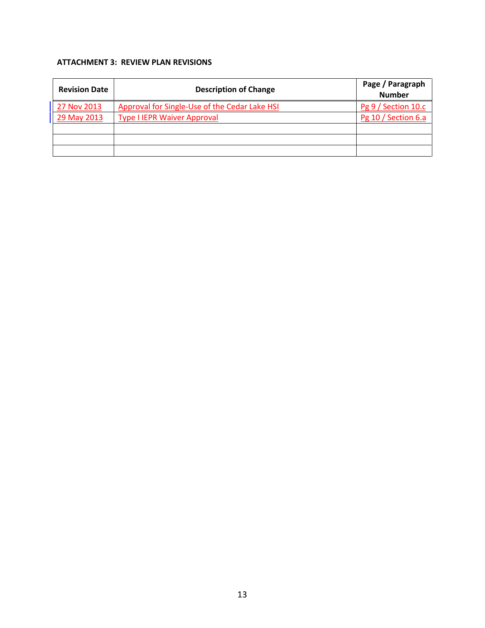## **ATTACHMENT 3: REVIEW PLAN REVISIONS**

| <b>Revision Date</b> | <b>Description of Change</b>                  | Page / Paragraph<br><b>Number</b> |
|----------------------|-----------------------------------------------|-----------------------------------|
| 27 Nov 2013          | Approval for Single-Use of the Cedar Lake HSI | Pg 9 / Section 10.c               |
| 29 May 2013          | <b>Type I IEPR Waiver Approval</b>            | Pg 10 / Section 6.a               |
|                      |                                               |                                   |
|                      |                                               |                                   |
|                      |                                               |                                   |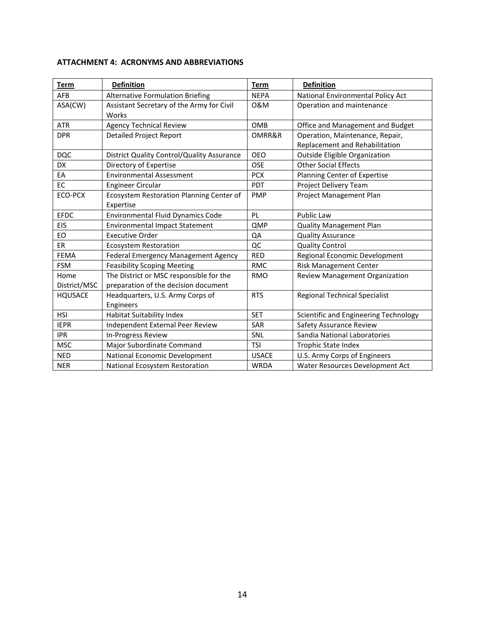| <b>Term</b>    | <b>Definition</b>                          | <b>Term</b>  | <b>Definition</b>                     |
|----------------|--------------------------------------------|--------------|---------------------------------------|
| <b>AFB</b>     | <b>Alternative Formulation Briefing</b>    | <b>NEPA</b>  | National Environmental Policy Act     |
| ASA(CW)        | Assistant Secretary of the Army for Civil  | 0&M          | Operation and maintenance             |
|                | Works                                      |              |                                       |
| <b>ATR</b>     | <b>Agency Technical Review</b>             | OMB          | Office and Management and Budget      |
| <b>DPR</b>     | <b>Detailed Project Report</b>             | OMRR&R       | Operation, Maintenance, Repair,       |
|                |                                            |              | Replacement and Rehabilitation        |
| <b>DQC</b>     | District Quality Control/Quality Assurance | <b>OEO</b>   | <b>Outside Eligible Organization</b>  |
| <b>DX</b>      | Directory of Expertise                     | <b>OSE</b>   | <b>Other Social Effects</b>           |
| EA             | <b>Environmental Assessment</b>            | <b>PCX</b>   | Planning Center of Expertise          |
| EC             | <b>Engineer Circular</b>                   | PDT          | Project Delivery Team                 |
| ECO-PCX        | Ecosystem Restoration Planning Center of   | <b>PMP</b>   | Project Management Plan               |
|                | Expertise                                  |              |                                       |
| <b>EFDC</b>    | <b>Environmental Fluid Dynamics Code</b>   | PL           | <b>Public Law</b>                     |
| EIS            | <b>Environmental Impact Statement</b>      | QMP          | <b>Quality Management Plan</b>        |
| EO             | <b>Executive Order</b>                     | QA           | <b>Quality Assurance</b>              |
| ER             | <b>Ecosystem Restoration</b>               | QC           | <b>Quality Control</b>                |
| <b>FEMA</b>    | Federal Emergency Management Agency        | <b>RED</b>   | Regional Economic Development         |
| <b>FSM</b>     | <b>Feasibility Scoping Meeting</b>         | <b>RMC</b>   | <b>Risk Management Center</b>         |
| Home           | The District or MSC responsible for the    | <b>RMO</b>   | <b>Review Management Organization</b> |
| District/MSC   | preparation of the decision document       |              |                                       |
| <b>HQUSACE</b> | Headquarters, U.S. Army Corps of           | <b>RTS</b>   | <b>Regional Technical Specialist</b>  |
|                | Engineers                                  |              |                                       |
| <b>HSI</b>     | Habitat Suitability Index                  | <b>SET</b>   | Scientific and Engineering Technology |
| <b>IEPR</b>    | Independent External Peer Review           | <b>SAR</b>   | Safety Assurance Review               |
| <b>IPR</b>     | In-Progress Review                         | <b>SNL</b>   | Sandia National Laboratories          |
| <b>MSC</b>     | Major Subordinate Command                  | <b>TSI</b>   | <b>Trophic State Index</b>            |
| <b>NED</b>     | National Economic Development              | <b>USACE</b> | U.S. Army Corps of Engineers          |
| <b>NER</b>     | National Ecosystem Restoration             | <b>WRDA</b>  | Water Resources Development Act       |

## **ATTACHMENT 4: ACRONYMS AND ABBREVIATIONS**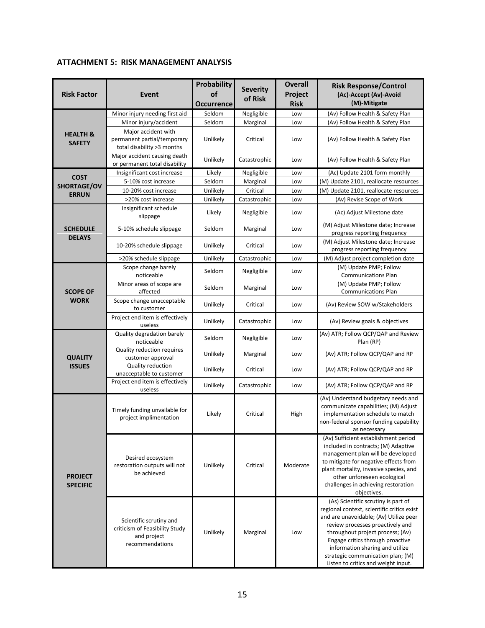## **ATTACHMENT 5: RISK MANAGEMENT ANALYSIS**

| <b>Risk Factor</b>                   | Event                                                                                       | <b>Probability</b><br>of<br>Occurrence | <b>Severity</b><br>of Risk | <b>Overall</b><br>Project<br><b>Risk</b> | <b>Risk Response/Control</b><br>(Ac)-Accept (Av)-Avoid<br>(M)-Mitigate                                                                                                                                                                                                                                                                                 |
|--------------------------------------|---------------------------------------------------------------------------------------------|----------------------------------------|----------------------------|------------------------------------------|--------------------------------------------------------------------------------------------------------------------------------------------------------------------------------------------------------------------------------------------------------------------------------------------------------------------------------------------------------|
|                                      | Minor injury needing first aid                                                              | Seldom                                 | Negligible                 | Low                                      | (Av) Follow Health & Safety Plan                                                                                                                                                                                                                                                                                                                       |
|                                      | Minor injury/accident                                                                       | Seldom                                 | Marginal                   | Low                                      | (Av) Follow Health & Safety Plan                                                                                                                                                                                                                                                                                                                       |
| <b>HEALTH &amp;</b><br><b>SAFETY</b> | Major accident with<br>permanent partial/temporary<br>total disability >3 months            | Unlikely                               | Critical                   | Low                                      | (Av) Follow Health & Safety Plan                                                                                                                                                                                                                                                                                                                       |
|                                      | Major accident causing death<br>or permanent total disability                               | Unlikely                               | Catastrophic               | Low                                      | (Av) Follow Health & Safety Plan                                                                                                                                                                                                                                                                                                                       |
| <b>COST</b>                          | Insignificant cost increase                                                                 | Likely                                 | Negligible                 | Low                                      | (Ac) Update 2101 form monthly                                                                                                                                                                                                                                                                                                                          |
| SHORTAGE/OV                          | 5-10% cost increase                                                                         | Seldom                                 | Marginal                   | Low                                      | (M) Update 2101, reallocate resources                                                                                                                                                                                                                                                                                                                  |
| <b>ERRUN</b>                         | 10-20% cost increase                                                                        | Unlikely                               | Critical                   | Low                                      | (M) Update 2101, reallocate resources                                                                                                                                                                                                                                                                                                                  |
|                                      | >20% cost increase                                                                          | Unlikely                               | Catastrophic               | Low                                      | (Av) Revise Scope of Work                                                                                                                                                                                                                                                                                                                              |
|                                      | Insignificant schedule<br>slippage                                                          | Likely                                 | Negligible                 | Low                                      | (Ac) Adjust Milestone date                                                                                                                                                                                                                                                                                                                             |
| <b>SCHEDULE</b><br><b>DELAYS</b>     | 5-10% schedule slippage                                                                     | Seldom                                 | Marginal                   | Low                                      | (M) Adjust Milestone date; Increase<br>progress reporting frequency                                                                                                                                                                                                                                                                                    |
|                                      | 10-20% schedule slippage                                                                    | Unlikely                               | Critical                   | Low                                      | (M) Adjust Milestone date; Increase<br>progress reporting frequency                                                                                                                                                                                                                                                                                    |
|                                      | >20% schedule slippage                                                                      | Unlikely                               | Catastrophic               | Low                                      | (M) Adjust project completion date                                                                                                                                                                                                                                                                                                                     |
|                                      | Scope change barely<br>noticeable                                                           | Seldom                                 | Negligible                 | Low                                      | (M) Update PMP; Follow<br><b>Communications Plan</b>                                                                                                                                                                                                                                                                                                   |
| <b>SCOPE OF</b>                      | Minor areas of scope are<br>affected                                                        | Seldom                                 | Marginal                   | Low                                      | (M) Update PMP; Follow<br><b>Communications Plan</b>                                                                                                                                                                                                                                                                                                   |
| <b>WORK</b>                          | Scope change unacceptable<br>to customer                                                    | Unlikely                               | Critical                   | Low                                      | (Av) Review SOW w/Stakeholders                                                                                                                                                                                                                                                                                                                         |
|                                      | Project end item is effectively<br>useless                                                  | Unlikely                               | Catastrophic               | Low                                      | (Av) Review goals & objectives                                                                                                                                                                                                                                                                                                                         |
|                                      | Quality degradation barely<br>noticeable                                                    | Seldom                                 | Negligible                 | Low                                      | (Av) ATR; Follow QCP/QAP and Review<br>Plan (RP)                                                                                                                                                                                                                                                                                                       |
| <b>QUALITY</b>                       | Quality reduction requires<br>customer approval                                             | Unlikely                               | Marginal                   | Low                                      | (Av) ATR; Follow QCP/QAP and RP                                                                                                                                                                                                                                                                                                                        |
| <b>ISSUES</b>                        | Quality reduction<br>unacceptable to customer                                               | Unlikely                               | Critical                   | Low                                      | (Av) ATR; Follow QCP/QAP and RP                                                                                                                                                                                                                                                                                                                        |
|                                      | Project end item is effectively<br>useless                                                  | Unlikely                               | Catastrophic               | Low                                      | (Av) ATR; Follow QCP/QAP and RP                                                                                                                                                                                                                                                                                                                        |
|                                      | Timely funding unvailable for<br>project implimentation                                     | Likely                                 | Critical                   | High                                     | (Av) Understand budgetary needs and<br>communicate capabilities; (M) Adjust<br>implementation schedule to match<br>non-federal sponsor funding capability<br>as necessary                                                                                                                                                                              |
| <b>PROJECT</b><br><b>SPECIFIC</b>    | Desired ecosystem<br>restoration outputs will not<br>be achieved                            | Unlikely                               | Critical                   | Moderate                                 | (Av) Sufficient establishment period<br>included in contracts; (M) Adaptive<br>management plan will be developed<br>to mitigate for negative effects from<br>plant mortality, invasive species, and<br>other unforeseen ecological<br>challenges in achieving restoration<br>objectives.                                                               |
|                                      | Scientific scrutiny and<br>criticism of Feasibility Study<br>and project<br>recommendations | Unlikely                               | Marginal                   | Low                                      | (As) Scientific scrutiny is part of<br>regional context, scientific critics exist<br>and are unavoidable; (Av) Utilize peer<br>review processes proactively and<br>throughout project process; (Av)<br>Engage critics through proactive<br>information sharing and utilize<br>strategic communication plan; (M)<br>Listen to critics and weight input. |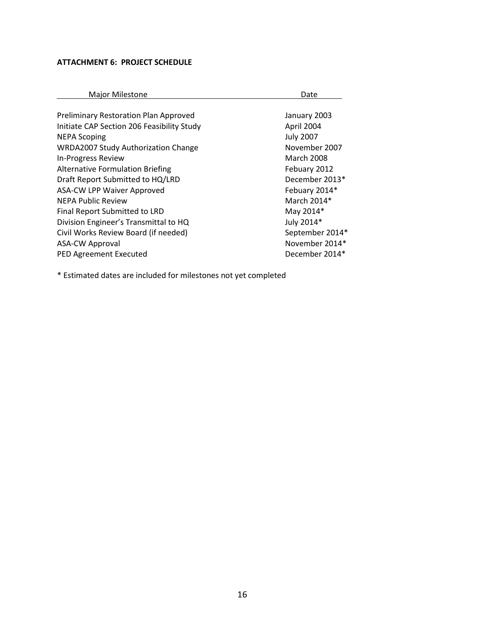## **ATTACHMENT 6: PROJECT SCHEDULE**

| <b>Major Milestone</b>                       | Date              |
|----------------------------------------------|-------------------|
|                                              |                   |
| <b>Preliminary Restoration Plan Approved</b> | January 2003      |
| Initiate CAP Section 206 Feasibility Study   | April 2004        |
| <b>NEPA Scoping</b>                          | <b>July 2007</b>  |
| <b>WRDA2007 Study Authorization Change</b>   | November 2007     |
| <b>In-Progress Review</b>                    | <b>March 2008</b> |
| <b>Alternative Formulation Briefing</b>      | Febuary 2012      |
| Draft Report Submitted to HQ/LRD             | December 2013*    |
| <b>ASA-CW LPP Waiver Approved</b>            | Febuary 2014*     |
| <b>NEPA Public Review</b>                    | March 2014*       |
| Final Report Submitted to LRD                | May 2014*         |
| Division Engineer's Transmittal to HQ        | July 2014*        |
| Civil Works Review Board (if needed)         | September 2014*   |
| <b>ASA-CW Approval</b>                       | November 2014*    |
| <b>PED Agreement Executed</b>                | December 2014*    |
|                                              |                   |

\* Estimated dates are included for milestones not yet completed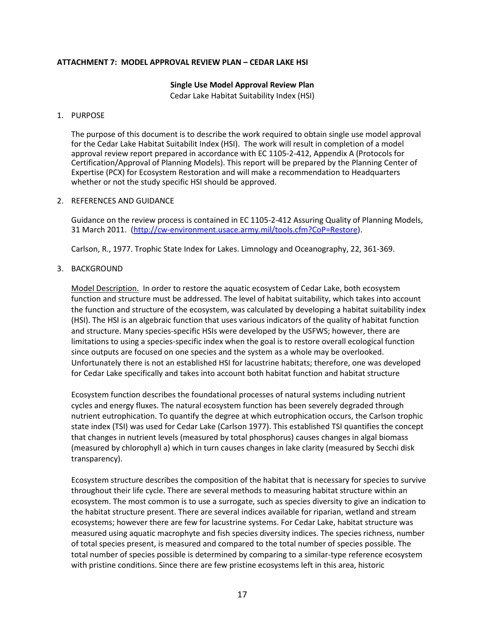#### **ATTACHMENT 7: MODEL APPROVAL REVIEW PLAN – CEDAR LAKE HSI**

## **Single Use Model Approval Review Plan**

Cedar Lake Habitat Suitability Index (HSI)

#### 1. PURPOSE

The purpose of this document is to describe the work required to obtain single use model approval for the Cedar Lake Habitat Suitabilit Index (HSI). The work will result in completion of a model approval review report prepared in accordance with EC 1105-2-412, Appendix A (Protocols for Certification/Approval of Planning Models). This report will be prepared by the Planning Center of Expertise (PCX) for Ecosystem Restoration and will make a recommendation to Headquarters whether or not the study specific HSI should be approved.

#### 2. REFERENCES AND GUIDANCE

Guidance on the review process is contained in EC 1105-2-412 Assuring Quality of Planning Models, 31 March 2011. (http://cw-environment.usace.army.mil/tools.cfm?CoP=Restore).

Carlson, R., 1977. Trophic State Index for Lakes. Limnology and Oceanography, 22, 361-369.

#### 3. BACKGROUND

Model Description. In order to restore the aquatic ecosystem of Cedar Lake, both ecosystem function and structure must be addressed. The level of habitat suitability, which takes into account the function and structure of the ecosystem, was calculated by developing a habitat suitability index (HSI). The HSI is an algebraic function that uses various indicators of the quality of habitat function and structure. Many species-specific HSIs were developed by the USFWS; however, there are limitations to using a species-specific index when the goal is to restore overall ecological function since outputs are focused on one species and the system as a whole may be overlooked. Unfortunately there is not an established HSI for lacustrine habitats; therefore, one was developed for Cedar Lake specifically and takes into account both habitat function and habitat structure

Ecosystem function describes the foundational processes of natural systems including nutrient cycles and energy fluxes. The natural ecosystem function has been severely degraded through nutrient eutrophication. To quantify the degree at which eutrophication occurs, the Carlson trophic state index (TSI) was used for Cedar Lake (Carlson 1977). This established TSI quantifies the concept that changes in nutrient levels (measured by total phosphorus) causes changes in algal biomass (measured by chlorophyll a) which in turn causes changes in lake clarity (measured by Secchi disk transparency).

Ecosystem structure describes the composition of the habitat that is necessary for species to survive throughout their life cycle. There are several methods to measuring habitat structure within an ecosystem. The most common is to use a surrogate, such as species diversity to give an indication to the habitat structure present. There are several indices available for riparian, wetland and stream ecosystems; however there are few for lacustrine systems. For Cedar Lake, habitat structure was measured using aquatic macrophyte and fish species diversity indices. The species richness, number of total species present, is measured and compared to the total number of species possible. The total number of species possible is determined by comparing to a similar-type reference ecosystem with pristine conditions. Since there are few pristine ecosystems left in this area, historic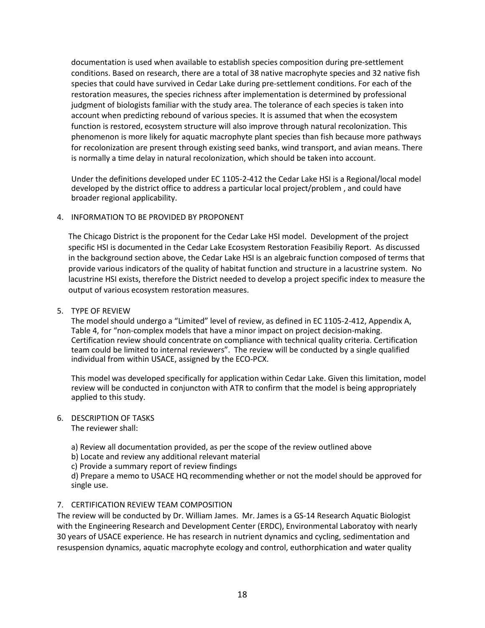documentation is used when available to establish species composition during pre-settlement conditions. Based on research, there are a total of 38 native macrophyte species and 32 native fish species that could have survived in Cedar Lake during pre-settlement conditions. For each of the restoration measures, the species richness after implementation is determined by professional judgment of biologists familiar with the study area. The tolerance of each species is taken into account when predicting rebound of various species. It is assumed that when the ecosystem function is restored, ecosystem structure will also improve through natural recolonization. This phenomenon is more likely for aquatic macrophyte plant species than fish because more pathways for recolonization are present through existing seed banks, wind transport, and avian means. There is normally a time delay in natural recolonization, which should be taken into account.

Under the definitions developed under EC 1105-2-412 the Cedar Lake HSI is a Regional/local model developed by the district office to address a particular local project/problem , and could have broader regional applicability.

#### 4. INFORMATION TO BE PROVIDED BY PROPONENT

The Chicago District is the proponent for the Cedar Lake HSI model. Development of the project specific HSI is documented in the Cedar Lake Ecosystem Restoration Feasibiliy Report. As discussed in the background section above, the Cedar Lake HSI is an algebraic function composed of terms that provide various indicators of the quality of habitat function and structure in a lacustrine system. No lacustrine HSI exists, therefore the District needed to develop a project specific index to measure the output of various ecosystem restoration measures.

#### 5. TYPE OF REVIEW

The model should undergo a "Limited" level of review, as defined in EC 1105-2-412, Appendix A, Table 4, for "non-complex models that have a minor impact on project decision-making. Certification review should concentrate on compliance with technical quality criteria. Certification team could be limited to internal reviewers". The review will be conducted by a single qualified individual from within USACE, assigned by the ECO-PCX.

This model was developed specifically for application within Cedar Lake. Given this limitation, model review will be conducted in conjuncton with ATR to confirm that the model is being appropriately applied to this study.

## 6. DESCRIPTION OF TASKS

The reviewer shall:

a) Review all documentation provided, as per the scope of the review outlined above

- b) Locate and review any additional relevant material
- c) Provide a summary report of review findings

d) Prepare a memo to USACE HQ recommending whether or not the model should be approved for single use.

#### 7. CERTIFICATION REVIEW TEAM COMPOSITION

The review will be conducted by Dr. William James. Mr. James is a GS-14 Research Aquatic Biologist with the Engineering Research and Development Center (ERDC), Environmental Laboratoy with nearly 30 years of USACE experience. He has research in nutrient dynamics and cycling, sedimentation and resuspension dynamics, aquatic macrophyte ecology and control, euthorphication and water quality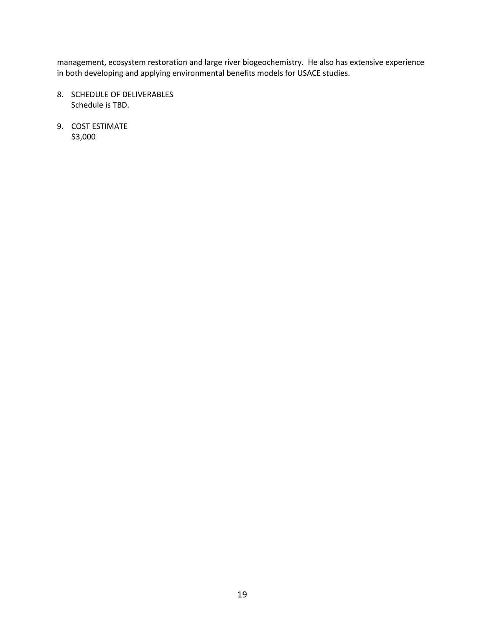management, ecosystem restoration and large river biogeochemistry. He also has extensive experience in both developing and applying environmental benefits models for USACE studies.

- 8. SCHEDULE OF DELIVERABLES Schedule is TBD.
- 9. COST ESTIMATE \$3,000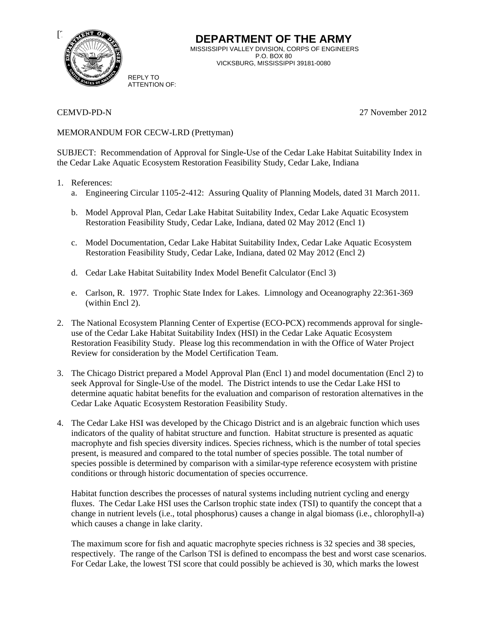

CEMVD-PD-N 27 November 2012

### MEMORANDUM FOR CECW-LRD (Prettyman)

REPLY TO ATTENTION OF:

SUBJECT: Recommendation of Approval for Single-Use of the Cedar Lake Habitat Suitability Index in the Cedar Lake Aquatic Ecosystem Restoration Feasibility Study, Cedar Lake, Indiana

#### 1. References:

- a. Engineering Circular 1105-2-412: Assuring Quality of Planning Models, dated 31 March 2011.
- b. Model Approval Plan, Cedar Lake Habitat Suitability Index, Cedar Lake Aquatic Ecosystem Restoration Feasibility Study, Cedar Lake, Indiana, dated 02 May 2012 (Encl 1)
- c. Model Documentation, Cedar Lake Habitat Suitability Index, Cedar Lake Aquatic Ecosystem Restoration Feasibility Study, Cedar Lake, Indiana, dated 02 May 2012 (Encl 2)
- d. Cedar Lake Habitat Suitability Index Model Benefit Calculator (Encl 3)
- e. Carlson, R. 1977. Trophic State Index for Lakes. Limnology and Oceanography 22:361-369 (within Encl 2).
- 2. The National Ecosystem Planning Center of Expertise (ECO-PCX) recommends approval for singleuse of the Cedar Lake Habitat Suitability Index (HSI) in the Cedar Lake Aquatic Ecosystem Restoration Feasibility Study. Please log this recommendation in with the Office of Water Project Review for consideration by the Model Certification Team.
- 3. The Chicago District prepared a Model Approval Plan (Encl 1) and model documentation (Encl 2) to seek Approval for Single-Use of the model. The District intends to use the Cedar Lake HSI to determine aquatic habitat benefits for the evaluation and comparison of restoration alternatives in the Cedar Lake Aquatic Ecosystem Restoration Feasibility Study.
- 4. The Cedar Lake HSI was developed by the Chicago District and is an algebraic function which uses indicators of the quality of habitat structure and function. Habitat structure is presented as aquatic macrophyte and fish species diversity indices. Species richness, which is the number of total species present, is measured and compared to the total number of species possible. The total number of species possible is determined by comparison with a similar-type reference ecosystem with pristine conditions or through historic documentation of species occurrence.

Habitat function describes the processes of natural systems including nutrient cycling and energy fluxes. The Cedar Lake HSI uses the Carlson trophic state index (TSI) to quantify the concept that a change in nutrient levels (i.e., total phosphorus) causes a change in algal biomass (i.e., chlorophyll-a) which causes a change in lake clarity.

The maximum score for fish and aquatic macrophyte species richness is 32 species and 38 species, respectively. The range of the Carlson TSI is defined to encompass the best and worst case scenarios. For Cedar Lake, the lowest TSI score that could possibly be achieved is 30, which marks the lowest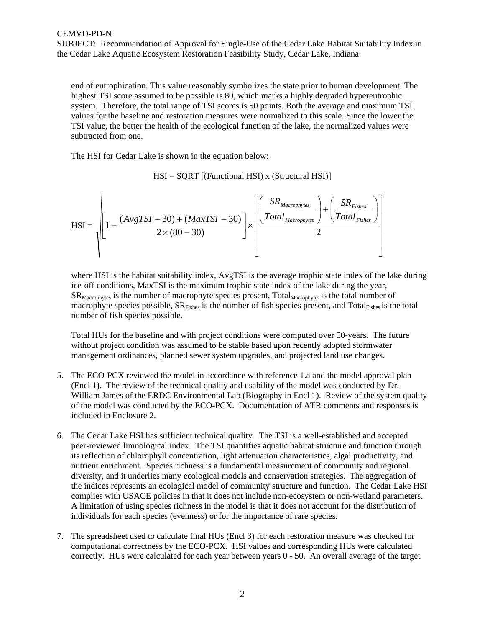SUBJECT: Recommendation of Approval for Single-Use of the Cedar Lake Habitat Suitability Index in the Cedar Lake Aquatic Ecosystem Restoration Feasibility Study, Cedar Lake, Indiana

end of eutrophication. This value reasonably symbolizes the state prior to human development. The highest TSI score assumed to be possible is 80, which marks a highly degraded hypereutrophic system. Therefore, the total range of TSI scores is 50 points. Both the average and maximum TSI values for the baseline and restoration measures were normalized to this scale. Since the lower the TSI value, the better the health of the ecological function of the lake, the normalized values were subtracted from one.

The HSI for Cedar Lake is shown in the equation below:

 $HSI = SQRT$  [(Functional HSI) x (Structural HSI)]

$$
HSI = \sqrt{\left[1 - \frac{(AvgTSI - 30) + (MaxTSI - 30)}{2 \times (80 - 30)}\right] \times \left[\frac{\left(\frac{SR_{Macrophytes}}{Total_{Macrophytes}}\right) + \left(\frac{SR_{Fishes}}{Total_{Fishes}}\right)}{2}\right]}
$$

where HSI is the habitat suitability index, AvgTSI is the average trophic state index of the lake during ice-off conditions, MaxTSI is the maximum trophic state index of the lake during the year,  $SR<sub>Macrophvtes</sub>$  is the number of macrophyte species present, Total<sub>Macrophytes</sub> is the total number of macrophyte species possible,  $SR<sub>Fishes</sub>$  is the number of fish species present, and  $Total<sub>Fishes</sub>$  is the total number of fish species possible.

Total HUs for the baseline and with project conditions were computed over 50-years. The future without project condition was assumed to be stable based upon recently adopted stormwater management ordinances, planned sewer system upgrades, and projected land use changes.

- 5. The ECO-PCX reviewed the model in accordance with reference 1.a and the model approval plan (Encl 1). The review of the technical quality and usability of the model was conducted by Dr. William James of the ERDC Environmental Lab (Biography in Encl 1). Review of the system quality of the model was conducted by the ECO-PCX. Documentation of ATR comments and responses is included in Enclosure 2.
- 6. The Cedar Lake HSI has sufficient technical quality. The TSI is a well-established and accepted peer-reviewed limnological index. The TSI quantifies aquatic habitat structure and function through its reflection of chlorophyll concentration, light attenuation characteristics, algal productivity, and nutrient enrichment. Species richness is a fundamental measurement of community and regional diversity, and it underlies many ecological models and conservation strategies. The aggregation of the indices represents an ecological model of community structure and function. The Cedar Lake HSI complies with USACE policies in that it does not include non-ecosystem or non-wetland parameters. A limitation of using species richness in the model is that it does not account for the distribution of individuals for each species (evenness) or for the importance of rare species.
- 7. The spreadsheet used to calculate final HUs (Encl 3) for each restoration measure was checked for computational correctness by the ECO-PCX. HSI values and corresponding HUs were calculated correctly. HUs were calculated for each year between years 0 - 50. An overall average of the target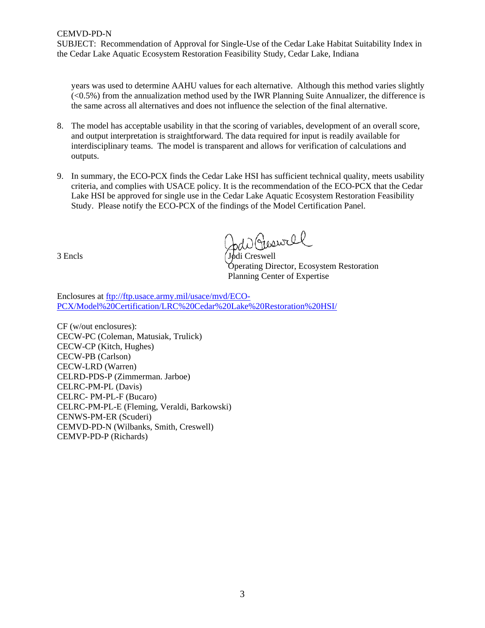SUBJECT: Recommendation of Approval for Single-Use of the Cedar Lake Habitat Suitability Index in the Cedar Lake Aquatic Ecosystem Restoration Feasibility Study, Cedar Lake, Indiana

years was used to determine AAHU values for each alternative. Although this method varies slightly (<0.5%) from the annualization method used by the IWR Planning Suite Annualizer, the difference is the same across all alternatives and does not influence the selection of the final alternative.

- 8. The model has acceptable usability in that the scoring of variables, development of an overall score, and output interpretation is straightforward. The data required for input is readily available for interdisciplinary teams. The model is transparent and allows for verification of calculations and outputs.
- 9. In summary, the ECO-PCX finds the Cedar Lake HSI has sufficient technical quality, meets usability criteria, and complies with USACE policy. It is the recommendation of the ECO-PCX that the Cedar Lake HSI be approved for single use in the Cedar Lake Aquatic Ecosystem Restoration Feasibility Study. Please notify the ECO-PCX of the findings of the Model Certification Panel.

3 Encls

bar Geswill

Operating Director, Ecosystem Restoration Planning Center of Expertise

Enclosures at ftp://ftp.usace.army.mil/usace/mvd/ECO-PCX/Model%20Certification/LRC%20Cedar%20Lake%20Restoration%20HSI/

CF (w/out enclosures): CECW-PC (Coleman, Matusiak, Trulick) CECW-CP (Kitch, Hughes) CECW-PB (Carlson) CECW-LRD (Warren) CELRD-PDS-P (Zimmerman. Jarboe) CELRC-PM-PL (Davis) CELRC- PM-PL-F (Bucaro) CELRC-PM-PL-E (Fleming, Veraldi, Barkowski) CENWS-PM-ER (Scuderi) CEMVD-PD-N (Wilbanks, Smith, Creswell) CEMVP-PD-P (Richards)